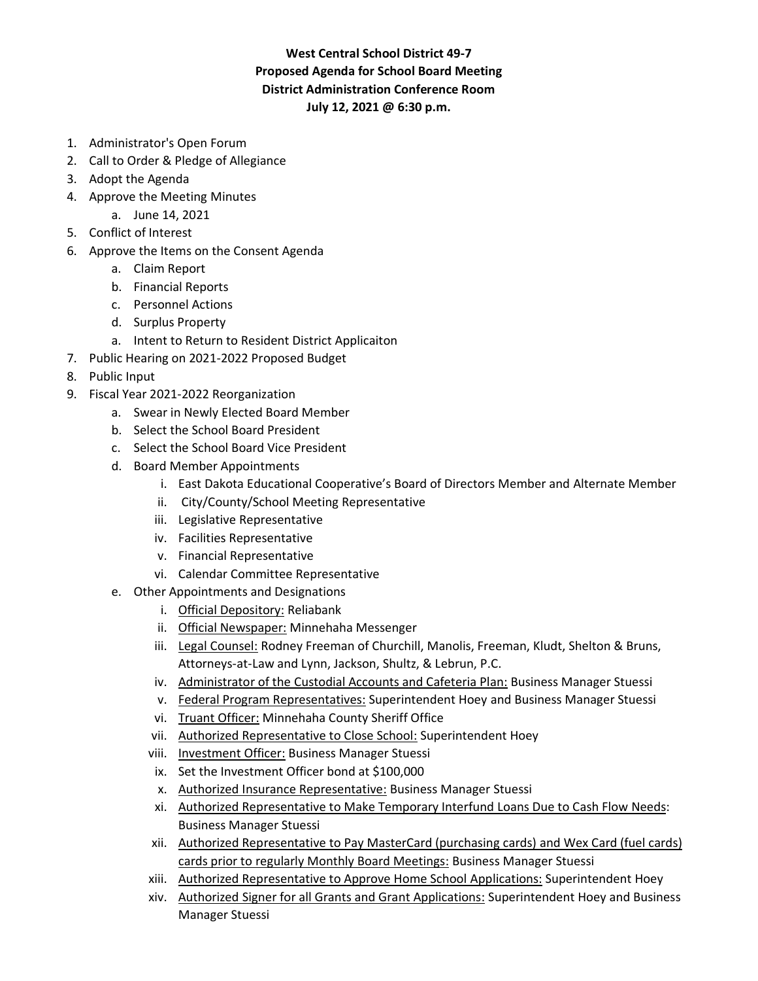## **West Central School District 49-7 Proposed Agenda for School Board Meeting District Administration Conference Room July 12, 2021 @ 6:30 p.m.**

- 1. Administrator's Open Forum
- 2. Call to Order & Pledge of Allegiance
- 3. Adopt the Agenda
- 4. Approve the Meeting Minutes
	- a. June 14, 2021
- 5. Conflict of Interest
- 6. Approve the Items on the Consent Agenda
	- a. Claim Report
	- b. Financial Reports
	- c. Personnel Actions
	- d. Surplus Property
	- a. Intent to Return to Resident District Applicaiton
- 7. Public Hearing on 2021-2022 Proposed Budget
- 8. Public Input
- 9. Fiscal Year 2021-2022 Reorganization
	- a. Swear in Newly Elected Board Member
	- b. Select the School Board President
	- c. Select the School Board Vice President
	- d. Board Member Appointments
		- i. East Dakota Educational Cooperative's Board of Directors Member and Alternate Member
		- ii. City/County/School Meeting Representative
		- iii. Legislative Representative
		- iv. Facilities Representative
		- v. Financial Representative
		- vi. Calendar Committee Representative
	- e. Other Appointments and Designations
		- i. Official Depository: Reliabank
		- ii. Official Newspaper: Minnehaha Messenger
		- iii. Legal Counsel: Rodney Freeman of Churchill, Manolis, Freeman, Kludt, Shelton & Bruns, Attorneys-at-Law and Lynn, Jackson, Shultz, & Lebrun, P.C.
		- iv. Administrator of the Custodial Accounts and Cafeteria Plan: Business Manager Stuessi
		- v. Federal Program Representatives: Superintendent Hoey and Business Manager Stuessi
		- vi. Truant Officer: Minnehaha County Sheriff Office
		- vii. Authorized Representative to Close School: Superintendent Hoey
		- viii. Investment Officer: Business Manager Stuessi
		- ix. Set the Investment Officer bond at \$100,000
		- x. Authorized Insurance Representative: Business Manager Stuessi
		- xi. Authorized Representative to Make Temporary Interfund Loans Due to Cash Flow Needs: Business Manager Stuessi
		- xii. Authorized Representative to Pay MasterCard (purchasing cards) and Wex Card (fuel cards) cards prior to regularly Monthly Board Meetings: Business Manager Stuessi
		- xiii. Authorized Representative to Approve Home School Applications: Superintendent Hoey
		- xiv. Authorized Signer for all Grants and Grant Applications: Superintendent Hoey and Business Manager Stuessi